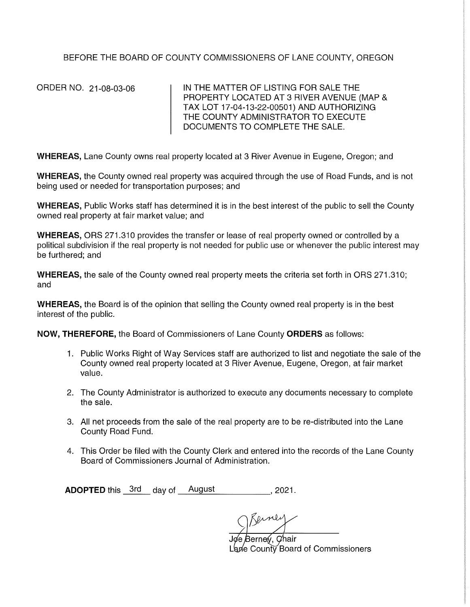BEFORE THE BOARD OF COUNTY COMMISSIONERS OF LANE COUNTY, OREGON

ORDER NO. 21-08-03-06

IN THE MATTER OF LISTING FOR SALE THE PROPERTY LOCATED AT 3 RIVER AVENUE (MAP & TAX LOT 17-04-13-22-00501) AND AUTHORIZING THE COUNTY ADMINISTRATOR TO EXECUTE DOCUMENTS TO COMPLETE THE SALE.

WHEREAS, Lane County owns real property located at 3 River Avenue in Eugene, Oregon; and

WHEREAS, the County owned real property was acquired through the use of Road Funds, and is not being used or needed for transportation purposes; and

WHEREAS, Public Works staff has determined it is in the best interest of the public to sell the County owned real property at fair market value; and

**WHEREAS, ORS 271.310 provides the transfer or lease of real property owned or controlled by a** political subdivision if the real property is not needed for public use or whenever the public interest may be furthered; and

**WHEREAS,** the sale of the County owned real property meets the criteria set forth in ORS 271.310; and

**WHEREAS,** the Board is of the opinion that selling the County owned real property is in the best interest of the public.

**NOW, THEREFORE,** the Board of Commissioners of Lane County **ORDERS** as follows:

- 1. Public Works Right of Way Services staff are authorized to list and negotiate the sale of the County owned real property located at 3 River Avenue, Eugene, Oregon, at fair market value.
- 2. The County Administrator is authorized to execute any documents necessary to complete the sale.
- 3. All net proceeds from the sale of the real property are to be re-distributed into the Lane County Road Fund.
- 4. This Order be filed with the County Clerk and entered into the records of the Lane County Board of Commissioners Journal of Administration.

**ADOPTED** this <u>3rd</u> day of August \_\_\_\_\_\_\_\_\_\_\_\_, 2021.

Joe Berney, Chair Lane County Board of Commissioners